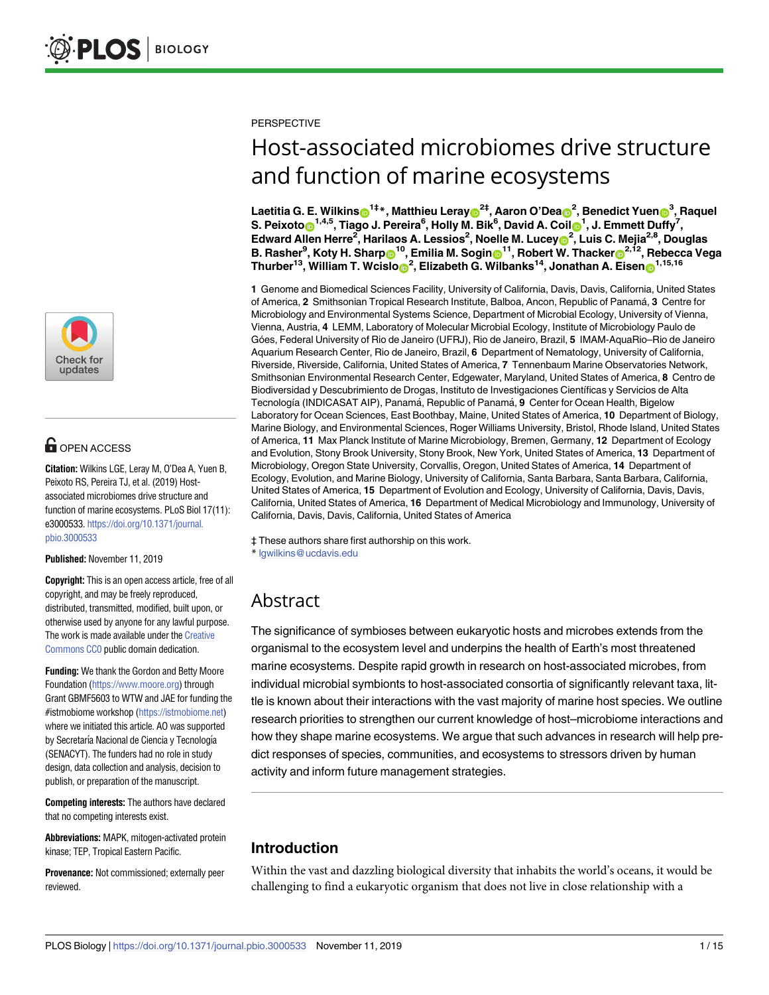

# **OPEN ACCESS**

**Citation:** Wilkins LGE, Leray M, O'Dea A, Yuen B, Peixoto RS, Pereira TJ, et al. (2019) Hostassociated microbiomes drive structure and function of marine ecosystems. PLoS Biol 17(11): e3000533. [https://doi.org/10.1371/journal.](https://doi.org/10.1371/journal.pbio.3000533) [pbio.3000533](https://doi.org/10.1371/journal.pbio.3000533)

**Published:** November 11, 2019

**Copyright:** This is an open access article, free of all copyright, and may be freely reproduced, distributed, transmitted, modified, built upon, or otherwise used by anyone for any lawful purpose. The work is made available under the [Creative](https://creativecommons.org/publicdomain/zero/1.0/) [Commons](https://creativecommons.org/publicdomain/zero/1.0/) CC0 public domain dedication.

**Funding:** We thank the Gordon and Betty Moore Foundation [\(https://www.moore.org\)](https://www.moore.org) through Grant GBMF5603 to WTW and JAE for funding the #istmobiome workshop ([https://istmobiome.net\)](https://istmobiome.net) where we initiated this article. AO was supported by Secretaría Nacional de Ciencia y Tecnología (SENACYT). The funders had no role in study design, data collection and analysis, decision to publish, or preparation of the manuscript.

**Competing interests:** The authors have declared that no competing interests exist.

**Abbreviations:** MAPK, mitogen-activated protein kinase; TEP, Tropical Eastern Pacific.

**Provenance:** Not commissioned; externally peer reviewed.

**PERSPECTIVE** 

# Host-associated microbiomes drive structure and function of marine ecosystems

Laetitia G. E. Wilkins®<sup>1‡</sup>\*, Matthieu Leray®<sup>2‡</sup>, Aaron O'Dea<mark>®</mark><sup>2</sup>, Benedict Yuen<mark>®</mark><sup>3</sup>, Raquel S. Peixoto**o**<sup>1,4,5</sup>, Tiago J. Pereira<sup>6</sup>, Holly M. Bik<sup>6</sup>, David A. Coil**o**<sup>1</sup>, J. Emmett Duffy<sup>7</sup>, **Edward Allen Herre2 , Harilaos A. Lessios2 , Noelle M. Luce[yID](http://orcid.org/0000-0002-7975-8521)2 , Luis C. Mejia2,8, Douglas** B. Rasher<sup>9</sup>, Koty H. Sharp**o**<sup>10</sup>, Emilia M. Sogin**o**<sup>11</sup>, Robert W. Thackero<sup>2,12</sup>, Rebecca Vega  $\Gamma$ hurber $^{13}$ , William T. Wcislo $\mathbf{0}^2$ , Elizabeth G. Wilbanks $^{14}$ , Jonathan A. Eisen $\mathbf{0}^{1,15,16}$ 

**1** Genome and Biomedical Sciences Facility, University of California, Davis, Davis, California, United States of America, **2** Smithsonian Tropical Research Institute, Balboa, Ancon, Republic of Panama´, **3** Centre for Microbiology and Environmental Systems Science, Department of Microbial Ecology, University of Vienna, Vienna, Austria, **4** LEMM, Laboratory of Molecular Microbial Ecology, Institute of Microbiology Paulo de Góes, Federal University of Rio de Janeiro (UFRJ), Rio de Janeiro, Brazil, 5 IMAM-AquaRio–Rio de Janeiro Aquarium Research Center, Rio de Janeiro, Brazil, **6** Department of Nematology, University of California, Riverside, Riverside, California, United States of America, **7** Tennenbaum Marine Observatories Network, Smithsonian Environmental Research Center, Edgewater, Maryland, United States of America, **8** Centro de Biodiversidad y Descubrimiento de Drogas, Instituto de Investigaciones Científicas y Servicios de Alta Tecnología (INDICASAT AIP), Panamá, Republic of Panamá, 9 Center for Ocean Health, Bigelow Laboratory for Ocean Sciences, East Boothbay, Maine, United States of America, **10** Department of Biology, Marine Biology, and Environmental Sciences, Roger Williams University, Bristol, Rhode Island, United States of America, **11** Max Planck Institute of Marine Microbiology, Bremen, Germany, **12** Department of Ecology and Evolution, Stony Brook University, Stony Brook, New York, United States of America, **13** Department of Microbiology, Oregon State University, Corvallis, Oregon, United States of America, **14** Department of Ecology, Evolution, and Marine Biology, University of California, Santa Barbara, Santa Barbara, California, United States of America, **15** Department of Evolution and Ecology, University of California, Davis, Davis, California, United States of America, **16** Department of Medical Microbiology and Immunology, University of California, Davis, Davis, California, United States of America

‡ These authors share first authorship on this work.

\* lgwilkins@ucdavis.edu

# Abstract

The significance of symbioses between eukaryotic hosts and microbes extends from the organismal to the ecosystem level and underpins the health of Earth's most threatened marine ecosystems. Despite rapid growth in research on host-associated microbes, from individual microbial symbionts to host-associated consortia of significantly relevant taxa, little is known about their interactions with the vast majority of marine host species. We outline research priorities to strengthen our current knowledge of host–microbiome interactions and how they shape marine ecosystems. We argue that such advances in research will help predict responses of species, communities, and ecosystems to stressors driven by human activity and inform future management strategies.

## **Introduction**

Within the vast and dazzling biological diversity that inhabits the world's oceans, it would be challenging to find a eukaryotic organism that does not live in close relationship with a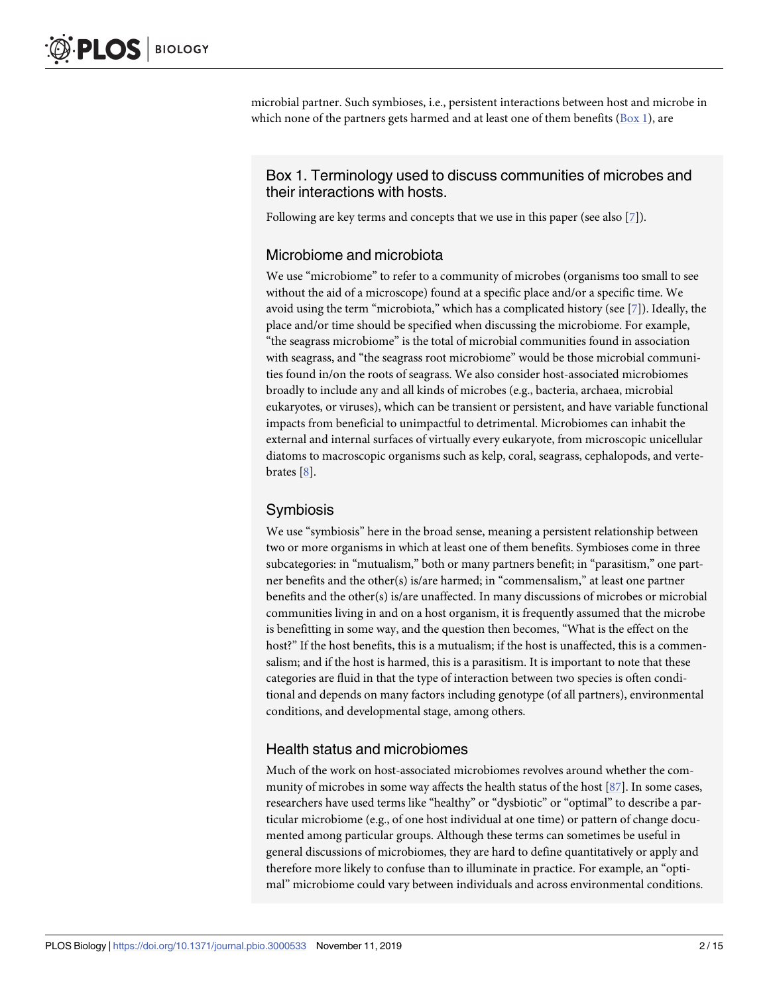<span id="page-1-0"></span>microbial partner. Such symbioses, i.e., persistent interactions between host and microbe in which none of the partners gets harmed and at least one of them benefits  $(Box 1)$ , are

Box 1. Terminology used to discuss communities of microbes and their interactions with hosts.

Following are key terms and concepts that we use in this paper (see also [\[7\]](#page-10-0)).

#### Microbiome and microbiota

We use "microbiome" to refer to a community of microbes (organisms too small to see without the aid of a microscope) found at a specific place and/or a specific time. We avoid using the term "microbiota," which has a complicated history (see [\[7\]](#page-10-0)). Ideally, the place and/or time should be specified when discussing the microbiome. For example, "the seagrass microbiome" is the total of microbial communities found in association with seagrass, and "the seagrass root microbiome" would be those microbial communities found in/on the roots of seagrass. We also consider host-associated microbiomes broadly to include any and all kinds of microbes (e.g., bacteria, archaea, microbial eukaryotes, or viruses), which can be transient or persistent, and have variable functional impacts from beneficial to unimpactful to detrimental. Microbiomes can inhabit the external and internal surfaces of virtually every eukaryote, from microscopic unicellular diatoms to macroscopic organisms such as kelp, coral, seagrass, cephalopods, and vertebrates [[8](#page-10-0)].

#### Symbiosis

We use "symbiosis" here in the broad sense, meaning a persistent relationship between two or more organisms in which at least one of them benefits. Symbioses come in three subcategories: in "mutualism," both or many partners benefit; in "parasitism," one partner benefits and the other(s) is/are harmed; in "commensalism," at least one partner benefits and the other(s) is/are unaffected. In many discussions of microbes or microbial communities living in and on a host organism, it is frequently assumed that the microbe is benefitting in some way, and the question then becomes, "What is the effect on the host?" If the host benefits, this is a mutualism; if the host is unaffected, this is a commensalism; and if the host is harmed, this is a parasitism. It is important to note that these categories are fluid in that the type of interaction between two species is often conditional and depends on many factors including genotype (of all partners), environmental conditions, and developmental stage, among others.

#### Health status and microbiomes

Much of the work on host-associated microbiomes revolves around whether the community of microbes in some way affects the health status of the host [\[87\]](#page-14-0). In some cases, researchers have used terms like "healthy" or "dysbiotic" or "optimal" to describe a particular microbiome (e.g., of one host individual at one time) or pattern of change documented among particular groups. Although these terms can sometimes be useful in general discussions of microbiomes, they are hard to define quantitatively or apply and therefore more likely to confuse than to illuminate in practice. For example, an "optimal" microbiome could vary between individuals and across environmental conditions.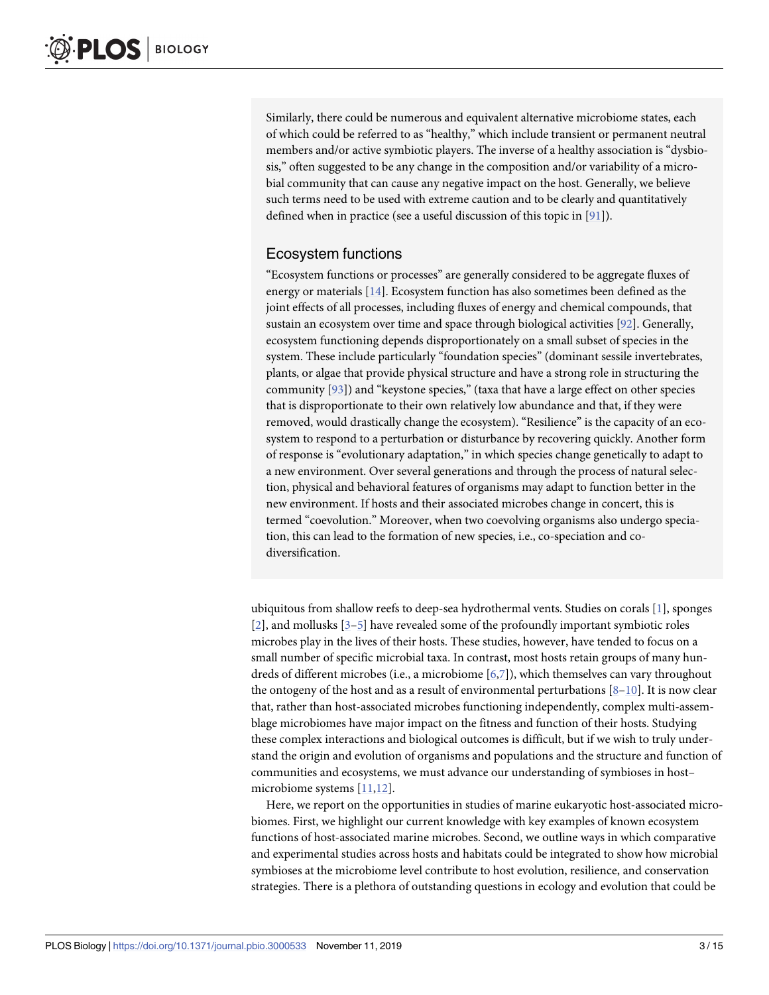<span id="page-2-0"></span>Similarly, there could be numerous and equivalent alternative microbiome states, each of which could be referred to as "healthy," which include transient or permanent neutral members and/or active symbiotic players. The inverse of a healthy association is "dysbiosis," often suggested to be any change in the composition and/or variability of a microbial community that can cause any negative impact on the host. Generally, we believe such terms need to be used with extreme caution and to be clearly and quantitatively defined when in practice (see a useful discussion of this topic in [\[91\]](#page-14-0)).

#### Ecosystem functions

"Ecosystem functions or processes" are generally considered to be aggregate fluxes of energy or materials [\[14\]](#page-10-0). Ecosystem function has also sometimes been defined as the joint effects of all processes, including fluxes of energy and chemical compounds, that sustain an ecosystem over time and space through biological activities [\[92\]](#page-14-0). Generally, ecosystem functioning depends disproportionately on a small subset of species in the system. These include particularly "foundation species" (dominant sessile invertebrates, plants, or algae that provide physical structure and have a strong role in structuring the community [\[93\]](#page-14-0)) and "keystone species," (taxa that have a large effect on other species that is disproportionate to their own relatively low abundance and that, if they were removed, would drastically change the ecosystem). "Resilience" is the capacity of an ecosystem to respond to a perturbation or disturbance by recovering quickly. Another form of response is "evolutionary adaptation," in which species change genetically to adapt to a new environment. Over several generations and through the process of natural selection, physical and behavioral features of organisms may adapt to function better in the new environment. If hosts and their associated microbes change in concert, this is termed "coevolution." Moreover, when two coevolving organisms also undergo speciation, this can lead to the formation of new species, i.e., co-speciation and codiversification.

ubiquitous from shallow reefs to deep-sea hydrothermal vents. Studies on corals [[1\]](#page-10-0), sponges [\[2](#page-10-0)], and mollusks [[3–5](#page-10-0)] have revealed some of the profoundly important symbiotic roles microbes play in the lives of their hosts. These studies, however, have tended to focus on a small number of specific microbial taxa. In contrast, most hosts retain groups of many hundreds of different microbes (i.e., a microbiome [[6](#page-10-0),[7](#page-10-0)]), which themselves can vary throughout the ontogeny of the host and as a result of environmental perturbations  $[8-10]$ . It is now clear that, rather than host-associated microbes functioning independently, complex multi-assemblage microbiomes have major impact on the fitness and function of their hosts. Studying these complex interactions and biological outcomes is difficult, but if we wish to truly understand the origin and evolution of organisms and populations and the structure and function of communities and ecosystems, we must advance our understanding of symbioses in host– microbiome systems [[11](#page-10-0),[12\]](#page-10-0).

Here, we report on the opportunities in studies of marine eukaryotic host-associated microbiomes. First, we highlight our current knowledge with key examples of known ecosystem functions of host-associated marine microbes. Second, we outline ways in which comparative and experimental studies across hosts and habitats could be integrated to show how microbial symbioses at the microbiome level contribute to host evolution, resilience, and conservation strategies. There is a plethora of outstanding questions in ecology and evolution that could be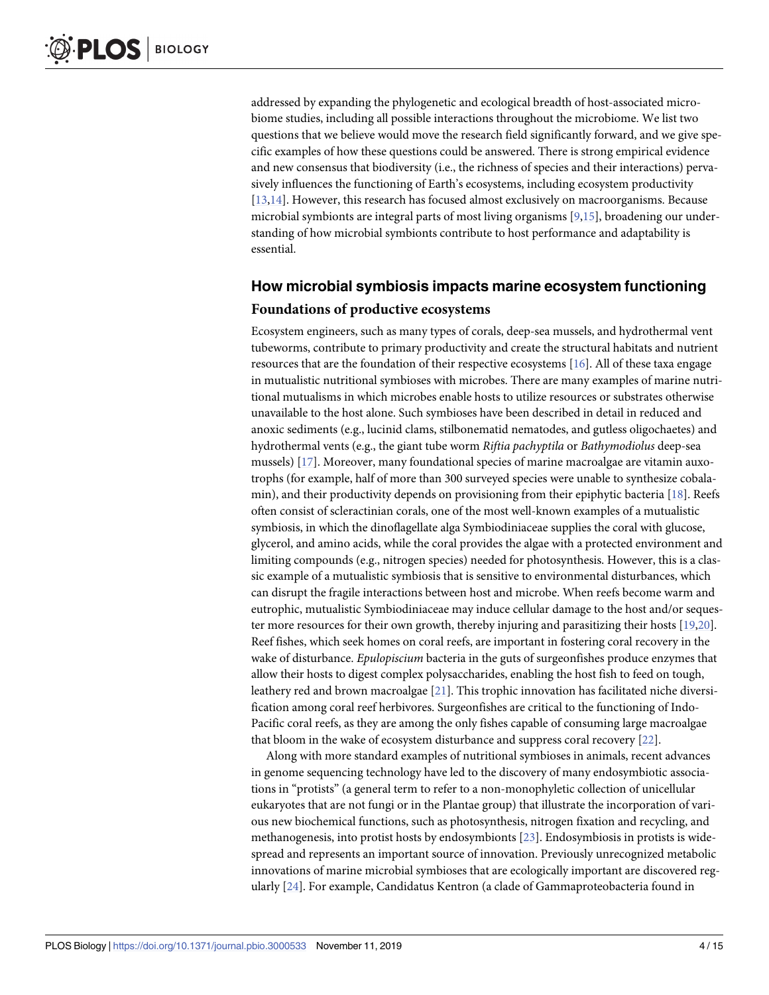<span id="page-3-0"></span>addressed by expanding the phylogenetic and ecological breadth of host-associated microbiome studies, including all possible interactions throughout the microbiome. We list two questions that we believe would move the research field significantly forward, and we give specific examples of how these questions could be answered. There is strong empirical evidence and new consensus that biodiversity (i.e., the richness of species and their interactions) pervasively influences the functioning of Earth's ecosystems, including ecosystem productivity [\[13,14\]](#page-10-0). However, this research has focused almost exclusively on macroorganisms. Because microbial symbionts are integral parts of most living organisms  $[9,15]$ , broadening our understanding of how microbial symbionts contribute to host performance and adaptability is essential.

## **How microbial symbiosis impacts marine ecosystem functioning Foundations of productive ecosystems**

Ecosystem engineers, such as many types of corals, deep-sea mussels, and hydrothermal vent tubeworms, contribute to primary productivity and create the structural habitats and nutrient resources that are the foundation of their respective ecosystems [[16](#page-10-0)]. All of these taxa engage in mutualistic nutritional symbioses with microbes. There are many examples of marine nutritional mutualisms in which microbes enable hosts to utilize resources or substrates otherwise unavailable to the host alone. Such symbioses have been described in detail in reduced and anoxic sediments (e.g., lucinid clams, stilbonematid nematodes, and gutless oligochaetes) and hydrothermal vents (e.g., the giant tube worm *Riftia pachyptila* or *Bathymodiolus* deep-sea mussels) [\[17\]](#page-10-0). Moreover, many foundational species of marine macroalgae are vitamin auxotrophs (for example, half of more than 300 surveyed species were unable to synthesize cobalamin), and their productivity depends on provisioning from their epiphytic bacteria [[18](#page-10-0)]. Reefs often consist of scleractinian corals, one of the most well-known examples of a mutualistic symbiosis, in which the dinoflagellate alga Symbiodiniaceae supplies the coral with glucose, glycerol, and amino acids, while the coral provides the algae with a protected environment and limiting compounds (e.g., nitrogen species) needed for photosynthesis. However, this is a classic example of a mutualistic symbiosis that is sensitive to environmental disturbances, which can disrupt the fragile interactions between host and microbe. When reefs become warm and eutrophic, mutualistic Symbiodiniaceae may induce cellular damage to the host and/or sequester more resources for their own growth, thereby injuring and parasitizing their hosts [\[19,20](#page-10-0)]. Reef fishes, which seek homes on coral reefs, are important in fostering coral recovery in the wake of disturbance. *Epulopiscium* bacteria in the guts of surgeonfishes produce enzymes that allow their hosts to digest complex polysaccharides, enabling the host fish to feed on tough, leathery red and brown macroalgae [\[21\]](#page-11-0). This trophic innovation has facilitated niche diversification among coral reef herbivores. Surgeonfishes are critical to the functioning of Indo-Pacific coral reefs, as they are among the only fishes capable of consuming large macroalgae that bloom in the wake of ecosystem disturbance and suppress coral recovery [\[22\]](#page-11-0).

Along with more standard examples of nutritional symbioses in animals, recent advances in genome sequencing technology have led to the discovery of many endosymbiotic associations in "protists" (a general term to refer to a non-monophyletic collection of unicellular eukaryotes that are not fungi or in the Plantae group) that illustrate the incorporation of various new biochemical functions, such as photosynthesis, nitrogen fixation and recycling, and methanogenesis, into protist hosts by endosymbionts [[23](#page-11-0)]. Endosymbiosis in protists is widespread and represents an important source of innovation. Previously unrecognized metabolic innovations of marine microbial symbioses that are ecologically important are discovered regularly [\[24\]](#page-11-0). For example, Candidatus Kentron (a clade of Gammaproteobacteria found in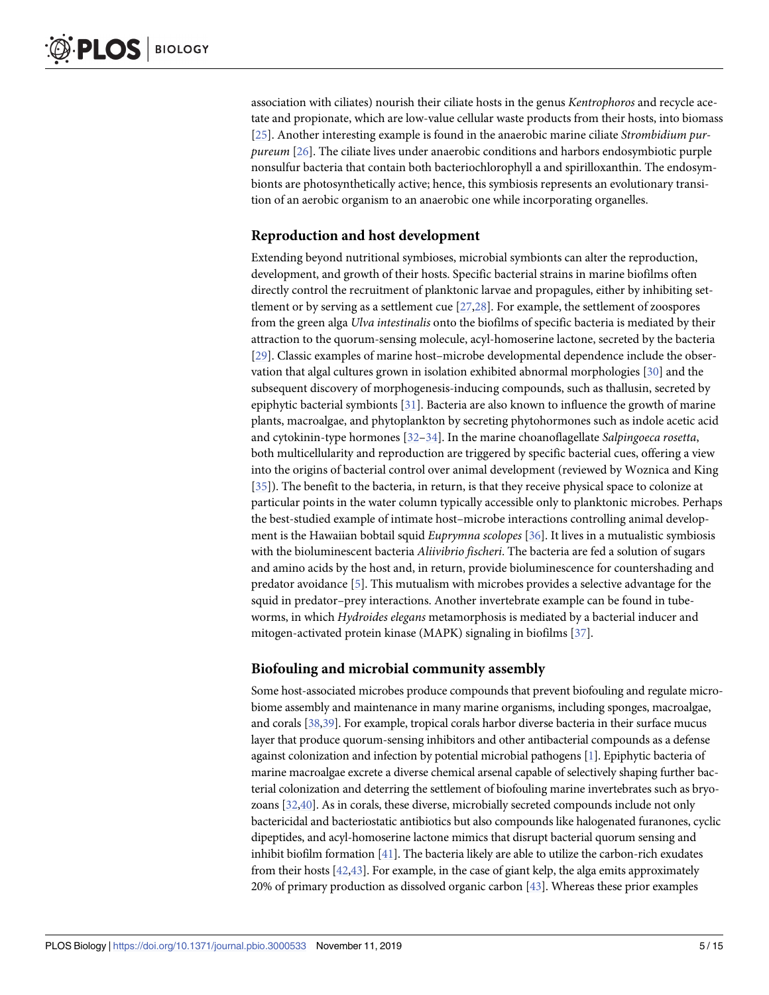<span id="page-4-0"></span>association with ciliates) nourish their ciliate hosts in the genus *Kentrophoros* and recycle acetate and propionate, which are low-value cellular waste products from their hosts, into biomass [\[25\]](#page-11-0). Another interesting example is found in the anaerobic marine ciliate *Strombidium purpureum* [\[26\]](#page-11-0). The ciliate lives under anaerobic conditions and harbors endosymbiotic purple nonsulfur bacteria that contain both bacteriochlorophyll a and spirilloxanthin. The endosymbionts are photosynthetically active; hence, this symbiosis represents an evolutionary transition of an aerobic organism to an anaerobic one while incorporating organelles.

#### **Reproduction and host development**

Extending beyond nutritional symbioses, microbial symbionts can alter the reproduction, development, and growth of their hosts. Specific bacterial strains in marine biofilms often directly control the recruitment of planktonic larvae and propagules, either by inhibiting settlement or by serving as a settlement cue [\[27,28\]](#page-11-0). For example, the settlement of zoospores from the green alga *Ulva intestinalis* onto the biofilms of specific bacteria is mediated by their attraction to the quorum-sensing molecule, acyl-homoserine lactone, secreted by the bacteria [\[29\]](#page-11-0). Classic examples of marine host–microbe developmental dependence include the observation that algal cultures grown in isolation exhibited abnormal morphologies [\[30\]](#page-11-0) and the subsequent discovery of morphogenesis-inducing compounds, such as thallusin, secreted by epiphytic bacterial symbionts [\[31\]](#page-11-0). Bacteria are also known to influence the growth of marine plants, macroalgae, and phytoplankton by secreting phytohormones such as indole acetic acid and cytokinin-type hormones [\[32–34](#page-11-0)]. In the marine choanoflagellate *Salpingoeca rosetta*, both multicellularity and reproduction are triggered by specific bacterial cues, offering a view into the origins of bacterial control over animal development (reviewed by Woznica and King [\[35\]](#page-11-0)). The benefit to the bacteria, in return, is that they receive physical space to colonize at particular points in the water column typically accessible only to planktonic microbes. Perhaps the best-studied example of intimate host–microbe interactions controlling animal development is the Hawaiian bobtail squid *Euprymna scolopes* [\[36\]](#page-11-0). It lives in a mutualistic symbiosis with the bioluminescent bacteria *Aliivibrio fischeri*. The bacteria are fed a solution of sugars and amino acids by the host and, in return, provide bioluminescence for countershading and predator avoidance [[5](#page-10-0)]. This mutualism with microbes provides a selective advantage for the squid in predator–prey interactions. Another invertebrate example can be found in tubeworms, in which *Hydroides elegans* metamorphosis is mediated by a bacterial inducer and mitogen-activated protein kinase (MAPK) signaling in biofilms [[37](#page-11-0)].

#### **Biofouling and microbial community assembly**

Some host-associated microbes produce compounds that prevent biofouling and regulate microbiome assembly and maintenance in many marine organisms, including sponges, macroalgae, and corals [\[38,39](#page-11-0)]. For example, tropical corals harbor diverse bacteria in their surface mucus layer that produce quorum-sensing inhibitors and other antibacterial compounds as a defense against colonization and infection by potential microbial pathogens [\[1](#page-10-0)]. Epiphytic bacteria of marine macroalgae excrete a diverse chemical arsenal capable of selectively shaping further bacterial colonization and deterring the settlement of biofouling marine invertebrates such as bryozoans [[32,40\]](#page-11-0). As in corals, these diverse, microbially secreted compounds include not only bactericidal and bacteriostatic antibiotics but also compounds like halogenated furanones, cyclic dipeptides, and acyl-homoserine lactone mimics that disrupt bacterial quorum sensing and inhibit biofilm formation [\[41](#page-11-0)]. The bacteria likely are able to utilize the carbon-rich exudates from their hosts [\[42,43\]](#page-12-0). For example, in the case of giant kelp, the alga emits approximately 20% of primary production as dissolved organic carbon [\[43](#page-12-0)]. Whereas these prior examples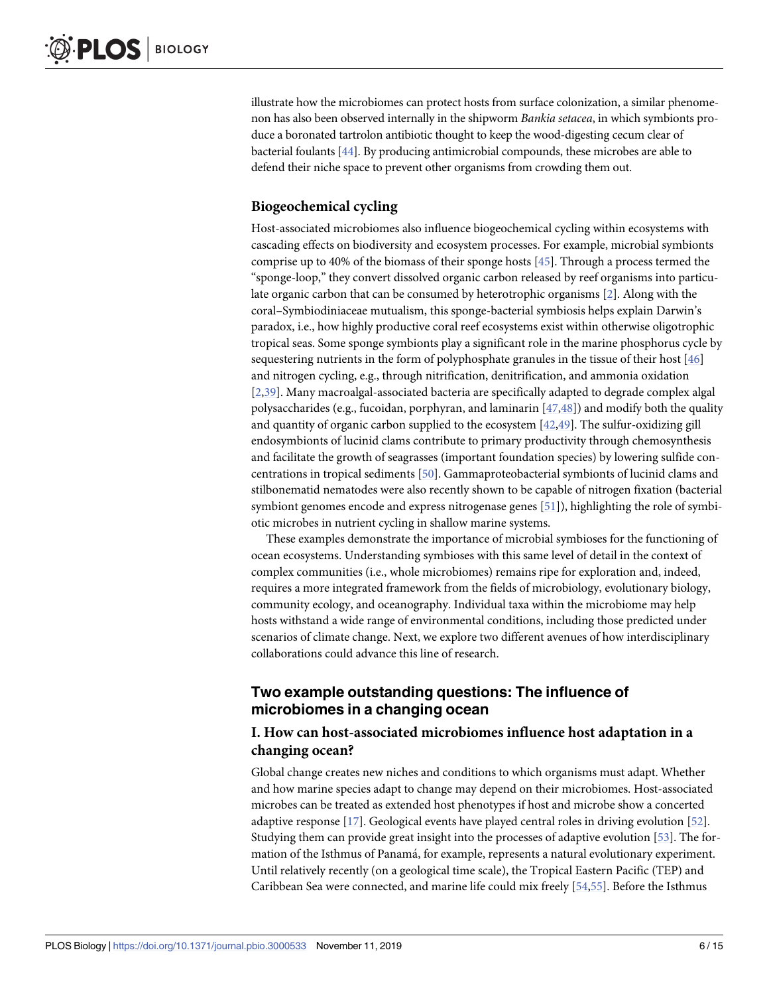<span id="page-5-0"></span>illustrate how the microbiomes can protect hosts from surface colonization, a similar phenomenon has also been observed internally in the shipworm *Bankia setacea*, in which symbionts produce a boronated tartrolon antibiotic thought to keep the wood-digesting cecum clear of bacterial foulants [\[44\]](#page-12-0). By producing antimicrobial compounds, these microbes are able to defend their niche space to prevent other organisms from crowding them out.

#### **Biogeochemical cycling**

Host-associated microbiomes also influence biogeochemical cycling within ecosystems with cascading effects on biodiversity and ecosystem processes. For example, microbial symbionts comprise up to 40% of the biomass of their sponge hosts [[45](#page-12-0)]. Through a process termed the "sponge-loop," they convert dissolved organic carbon released by reef organisms into particulate organic carbon that can be consumed by heterotrophic organisms [\[2](#page-10-0)]. Along with the coral–Symbiodiniaceae mutualism, this sponge-bacterial symbiosis helps explain Darwin's paradox, i.e., how highly productive coral reef ecosystems exist within otherwise oligotrophic tropical seas. Some sponge symbionts play a significant role in the marine phosphorus cycle by sequestering nutrients in the form of polyphosphate granules in the tissue of their host [[46](#page-12-0)] and nitrogen cycling, e.g., through nitrification, denitrification, and ammonia oxidation [\[2](#page-10-0)[,39\]](#page-11-0). Many macroalgal-associated bacteria are specifically adapted to degrade complex algal polysaccharides (e.g., fucoidan, porphyran, and laminarin [\[47,48](#page-12-0)]) and modify both the quality and quantity of organic carbon supplied to the ecosystem [[42](#page-12-0),[49](#page-12-0)]. The sulfur-oxidizing gill endosymbionts of lucinid clams contribute to primary productivity through chemosynthesis and facilitate the growth of seagrasses (important foundation species) by lowering sulfide concentrations in tropical sediments [\[50\]](#page-12-0). Gammaproteobacterial symbionts of lucinid clams and stilbonematid nematodes were also recently shown to be capable of nitrogen fixation (bacterial symbiont genomes encode and express nitrogenase genes [\[51\]](#page-12-0)), highlighting the role of symbiotic microbes in nutrient cycling in shallow marine systems.

These examples demonstrate the importance of microbial symbioses for the functioning of ocean ecosystems. Understanding symbioses with this same level of detail in the context of complex communities (i.e., whole microbiomes) remains ripe for exploration and, indeed, requires a more integrated framework from the fields of microbiology, evolutionary biology, community ecology, and oceanography. Individual taxa within the microbiome may help hosts withstand a wide range of environmental conditions, including those predicted under scenarios of climate change. Next, we explore two different avenues of how interdisciplinary collaborations could advance this line of research.

#### **Two example outstanding questions: The influence of microbiomes in a changing ocean**

#### **I. How can host-associated microbiomes influence host adaptation in a changing ocean?**

Global change creates new niches and conditions to which organisms must adapt. Whether and how marine species adapt to change may depend on their microbiomes. Host-associated microbes can be treated as extended host phenotypes if host and microbe show a concerted adaptive response [\[17\]](#page-10-0). Geological events have played central roles in driving evolution [\[52\]](#page-12-0). Studying them can provide great insight into the processes of adaptive evolution [[53](#page-12-0)]. The formation of the Isthmus of Panamá, for example, represents a natural evolutionary experiment. Until relatively recently (on a geological time scale), the Tropical Eastern Pacific (TEP) and Caribbean Sea were connected, and marine life could mix freely [[54,55\]](#page-12-0). Before the Isthmus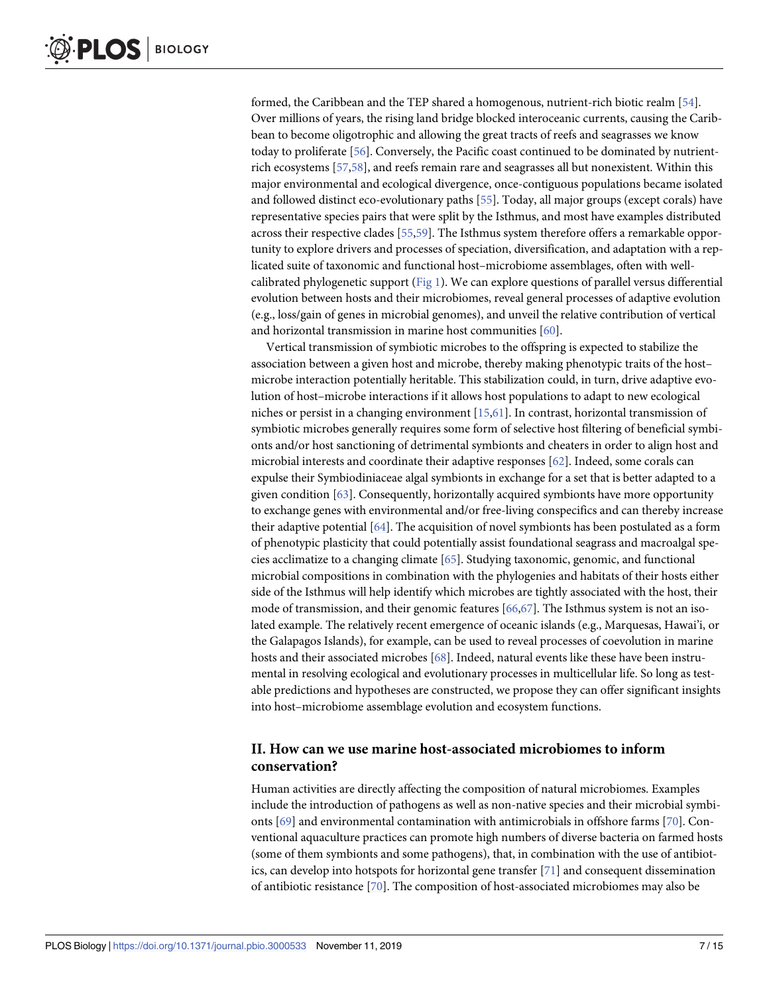<span id="page-6-0"></span>formed, the Caribbean and the TEP shared a homogenous, nutrient-rich biotic realm [\[54\]](#page-12-0). Over millions of years, the rising land bridge blocked interoceanic currents, causing the Caribbean to become oligotrophic and allowing the great tracts of reefs and seagrasses we know today to proliferate [[56](#page-12-0)]. Conversely, the Pacific coast continued to be dominated by nutrientrich ecosystems [\[57,58](#page-12-0)], and reefs remain rare and seagrasses all but nonexistent. Within this major environmental and ecological divergence, once-contiguous populations became isolated and followed distinct eco-evolutionary paths [[55](#page-12-0)]. Today, all major groups (except corals) have representative species pairs that were split by the Isthmus, and most have examples distributed across their respective clades [\[55,59\]](#page-12-0). The Isthmus system therefore offers a remarkable opportunity to explore drivers and processes of speciation, diversification, and adaptation with a replicated suite of taxonomic and functional host–microbiome assemblages, often with wellcalibrated phylogenetic support [\(Fig](#page-7-0) 1). We can explore questions of parallel versus differential evolution between hosts and their microbiomes, reveal general processes of adaptive evolution (e.g., loss/gain of genes in microbial genomes), and unveil the relative contribution of vertical and horizontal transmission in marine host communities [[60](#page-12-0)].

Vertical transmission of symbiotic microbes to the offspring is expected to stabilize the association between a given host and microbe, thereby making phenotypic traits of the host– microbe interaction potentially heritable. This stabilization could, in turn, drive adaptive evolution of host–microbe interactions if it allows host populations to adapt to new ecological niches or persist in a changing environment [[15](#page-10-0)[,61\]](#page-12-0). In contrast, horizontal transmission of symbiotic microbes generally requires some form of selective host filtering of beneficial symbionts and/or host sanctioning of detrimental symbionts and cheaters in order to align host and microbial interests and coordinate their adaptive responses [\[62\]](#page-12-0). Indeed, some corals can expulse their Symbiodiniaceae algal symbionts in exchange for a set that is better adapted to a given condition [\[63\]](#page-13-0). Consequently, horizontally acquired symbionts have more opportunity to exchange genes with environmental and/or free-living conspecifics and can thereby increase their adaptive potential [[64](#page-13-0)]. The acquisition of novel symbionts has been postulated as a form of phenotypic plasticity that could potentially assist foundational seagrass and macroalgal species acclimatize to a changing climate [\[65\]](#page-13-0). Studying taxonomic, genomic, and functional microbial compositions in combination with the phylogenies and habitats of their hosts either side of the Isthmus will help identify which microbes are tightly associated with the host, their mode of transmission, and their genomic features [\[66,67](#page-13-0)]. The Isthmus system is not an isolated example. The relatively recent emergence of oceanic islands (e.g., Marquesas, Hawai'i, or the Galapagos Islands), for example, can be used to reveal processes of coevolution in marine hosts and their associated microbes [\[68\]](#page-13-0). Indeed, natural events like these have been instrumental in resolving ecological and evolutionary processes in multicellular life. So long as testable predictions and hypotheses are constructed, we propose they can offer significant insights into host–microbiome assemblage evolution and ecosystem functions.

#### **II. How can we use marine host-associated microbiomes to inform conservation?**

Human activities are directly affecting the composition of natural microbiomes. Examples include the introduction of pathogens as well as non-native species and their microbial symbionts [[69](#page-13-0)] and environmental contamination with antimicrobials in offshore farms [[70](#page-13-0)]. Conventional aquaculture practices can promote high numbers of diverse bacteria on farmed hosts (some of them symbionts and some pathogens), that, in combination with the use of antibiotics, can develop into hotspots for horizontal gene transfer [\[71\]](#page-13-0) and consequent dissemination of antibiotic resistance [\[70\]](#page-13-0). The composition of host-associated microbiomes may also be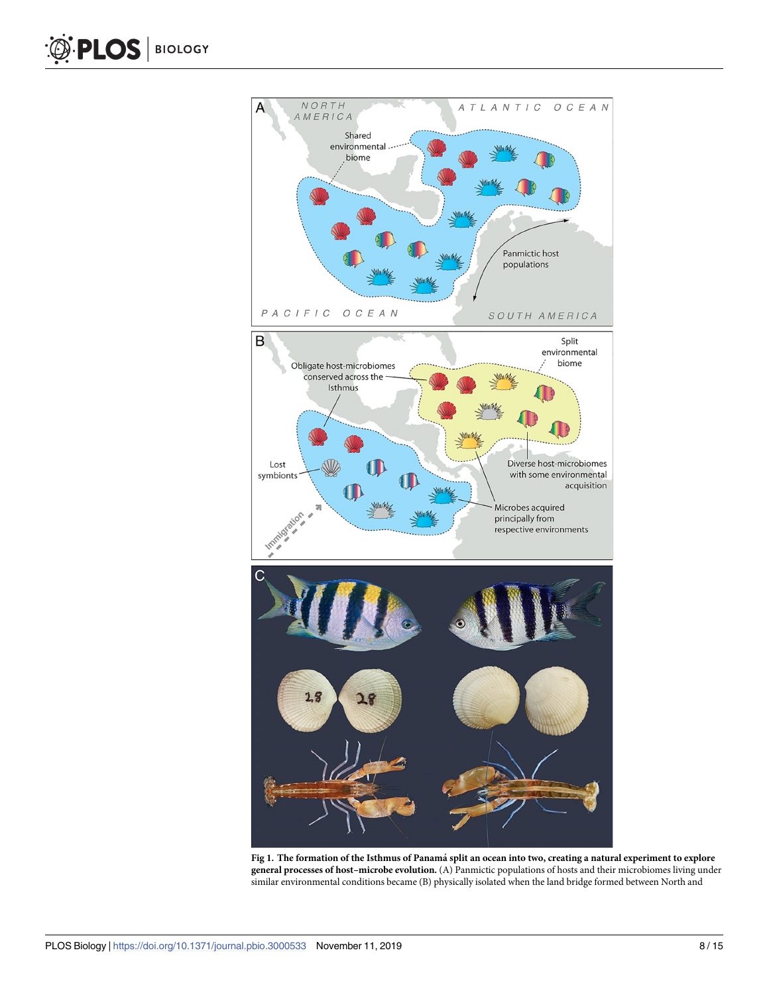<span id="page-7-0"></span>

[Fig](#page-6-0) 1. The formation of the Isthmus of Panamá split an ocean into two, creating a natural experiment to explore **general processes of host–microbe evolution.** (A) Panmictic populations of hosts and their microbiomes living under similar environmental conditions became (B) physically isolated when the land bridge formed between North and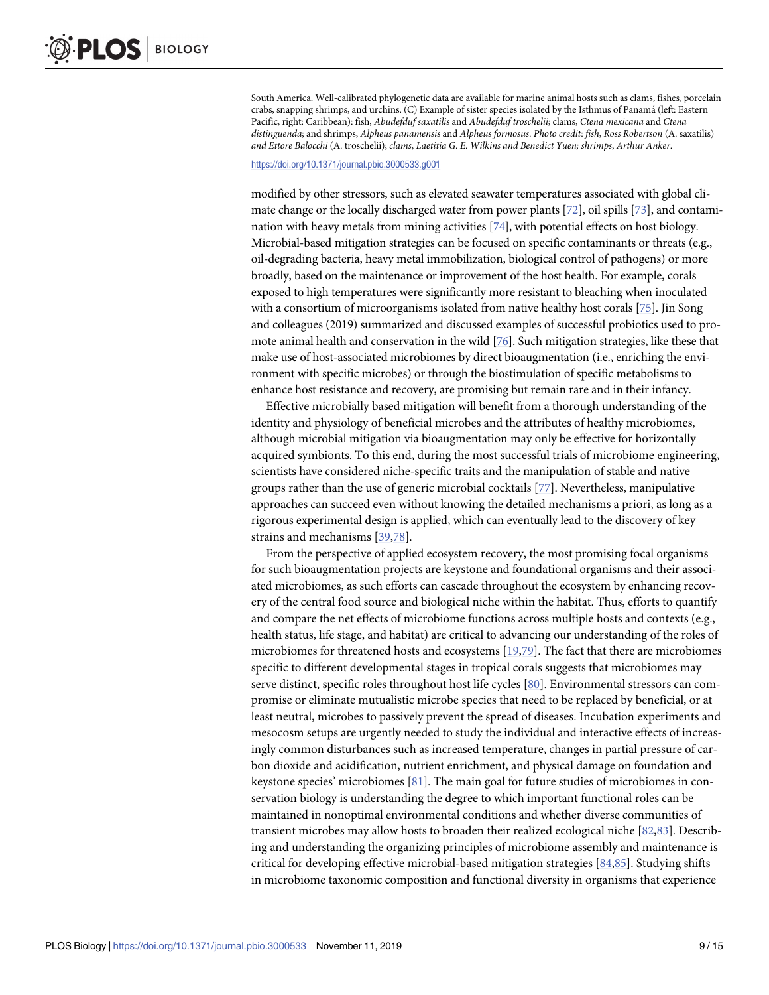<span id="page-8-0"></span>South America. Well-calibrated phylogenetic data are available for marine animal hosts such as clams, fishes, porcelain crabs, snapping shrimps, and urchins. (C) Example of sister species isolated by the Isthmus of Panamá (left: Eastern Pacific, right: Caribbean): fish, *Abudefduf saxatilis* and *Abudefduf troschelii*; clams, *Ctena mexicana* and *Ctena distinguenda*; and shrimps, *Alpheus panamensis* and *Alpheus formosus*. *Photo credit*: *fish*, *Ross Robertson* (A. saxatilis) *and Ettore Balocchi* (A. troschelii); *clams*, *Laetitia G*. *E*. *Wilkins and Benedict Yuen; shrimps*, *Arthur Anker*.

<https://doi.org/10.1371/journal.pbio.3000533.g001>

modified by other stressors, such as elevated seawater temperatures associated with global climate change or the locally discharged water from power plants [\[72\]](#page-13-0), oil spills [[73](#page-13-0)], and contamination with heavy metals from mining activities [[74](#page-13-0)], with potential effects on host biology. Microbial-based mitigation strategies can be focused on specific contaminants or threats (e.g., oil-degrading bacteria, heavy metal immobilization, biological control of pathogens) or more broadly, based on the maintenance or improvement of the host health. For example, corals exposed to high temperatures were significantly more resistant to bleaching when inoculated with a consortium of microorganisms isolated from native healthy host corals [\[75\]](#page-13-0). Jin Song and colleagues (2019) summarized and discussed examples of successful probiotics used to promote animal health and conservation in the wild [[76\]](#page-13-0). Such mitigation strategies, like these that make use of host-associated microbiomes by direct bioaugmentation (i.e., enriching the environment with specific microbes) or through the biostimulation of specific metabolisms to enhance host resistance and recovery, are promising but remain rare and in their infancy.

Effective microbially based mitigation will benefit from a thorough understanding of the identity and physiology of beneficial microbes and the attributes of healthy microbiomes, although microbial mitigation via bioaugmentation may only be effective for horizontally acquired symbionts. To this end, during the most successful trials of microbiome engineering, scientists have considered niche-specific traits and the manipulation of stable and native groups rather than the use of generic microbial cocktails [[77](#page-13-0)]. Nevertheless, manipulative approaches can succeed even without knowing the detailed mechanisms a priori, as long as a rigorous experimental design is applied, which can eventually lead to the discovery of key strains and mechanisms [\[39](#page-11-0)[,78\]](#page-13-0).

From the perspective of applied ecosystem recovery, the most promising focal organisms for such bioaugmentation projects are keystone and foundational organisms and their associated microbiomes, as such efforts can cascade throughout the ecosystem by enhancing recovery of the central food source and biological niche within the habitat. Thus, efforts to quantify and compare the net effects of microbiome functions across multiple hosts and contexts (e.g., health status, life stage, and habitat) are critical to advancing our understanding of the roles of microbiomes for threatened hosts and ecosystems [[19](#page-10-0),[79](#page-13-0)]. The fact that there are microbiomes specific to different developmental stages in tropical corals suggests that microbiomes may serve distinct, specific roles throughout host life cycles [\[80\]](#page-13-0). Environmental stressors can compromise or eliminate mutualistic microbe species that need to be replaced by beneficial, or at least neutral, microbes to passively prevent the spread of diseases. Incubation experiments and mesocosm setups are urgently needed to study the individual and interactive effects of increasingly common disturbances such as increased temperature, changes in partial pressure of carbon dioxide and acidification, nutrient enrichment, and physical damage on foundation and keystone species' microbiomes [[81](#page-13-0)]. The main goal for future studies of microbiomes in conservation biology is understanding the degree to which important functional roles can be maintained in nonoptimal environmental conditions and whether diverse communities of transient microbes may allow hosts to broaden their realized ecological niche [\[82,](#page-13-0)[83\]](#page-14-0). Describing and understanding the organizing principles of microbiome assembly and maintenance is critical for developing effective microbial-based mitigation strategies [[84,85\]](#page-14-0). Studying shifts in microbiome taxonomic composition and functional diversity in organisms that experience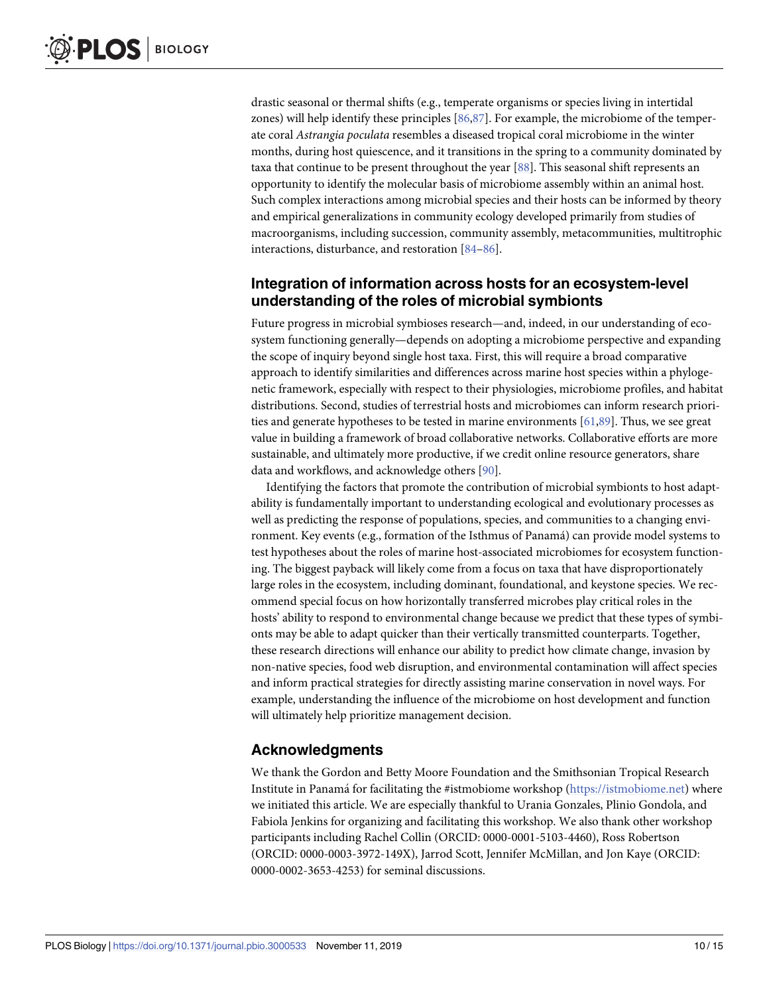<span id="page-9-0"></span>drastic seasonal or thermal shifts (e.g., temperate organisms or species living in intertidal zones) will help identify these principles [[86,87\]](#page-14-0). For example, the microbiome of the temperate coral *Astrangia poculata* resembles a diseased tropical coral microbiome in the winter months, during host quiescence, and it transitions in the spring to a community dominated by taxa that continue to be present throughout the year [\[88\]](#page-14-0). This seasonal shift represents an opportunity to identify the molecular basis of microbiome assembly within an animal host. Such complex interactions among microbial species and their hosts can be informed by theory and empirical generalizations in community ecology developed primarily from studies of macroorganisms, including succession, community assembly, metacommunities, multitrophic interactions, disturbance, and restoration [\[84–86](#page-14-0)].

#### **Integration of information across hosts for an ecosystem-level understanding of the roles of microbial symbionts**

Future progress in microbial symbioses research—and, indeed, in our understanding of ecosystem functioning generally—depends on adopting a microbiome perspective and expanding the scope of inquiry beyond single host taxa. First, this will require a broad comparative approach to identify similarities and differences across marine host species within a phylogenetic framework, especially with respect to their physiologies, microbiome profiles, and habitat distributions. Second, studies of terrestrial hosts and microbiomes can inform research priorities and generate hypotheses to be tested in marine environments [\[61,](#page-12-0)[89](#page-14-0)]. Thus, we see great value in building a framework of broad collaborative networks. Collaborative efforts are more sustainable, and ultimately more productive, if we credit online resource generators, share data and workflows, and acknowledge others [\[90\]](#page-14-0).

Identifying the factors that promote the contribution of microbial symbionts to host adaptability is fundamentally important to understanding ecological and evolutionary processes as well as predicting the response of populations, species, and communities to a changing environment. Key events (e.g., formation of the Isthmus of Panamá) can provide model systems to test hypotheses about the roles of marine host-associated microbiomes for ecosystem functioning. The biggest payback will likely come from a focus on taxa that have disproportionately large roles in the ecosystem, including dominant, foundational, and keystone species. We recommend special focus on how horizontally transferred microbes play critical roles in the hosts' ability to respond to environmental change because we predict that these types of symbionts may be able to adapt quicker than their vertically transmitted counterparts. Together, these research directions will enhance our ability to predict how climate change, invasion by non-native species, food web disruption, and environmental contamination will affect species and inform practical strategies for directly assisting marine conservation in novel ways. For example, understanding the influence of the microbiome on host development and function will ultimately help prioritize management decision.

#### **Acknowledgments**

We thank the Gordon and Betty Moore Foundation and the Smithsonian Tropical Research Institute in Panama´ for facilitating the #istmobiome workshop ([https://istmobiome.net](https://istmobiome.net/)) where we initiated this article. We are especially thankful to Urania Gonzales, Plinio Gondola, and Fabiola Jenkins for organizing and facilitating this workshop. We also thank other workshop participants including Rachel Collin (ORCID: 0000-0001-5103-4460), Ross Robertson (ORCID: 0000-0003-3972-149X), Jarrod Scott, Jennifer McMillan, and Jon Kaye (ORCID: 0000-0002-3653-4253) for seminal discussions.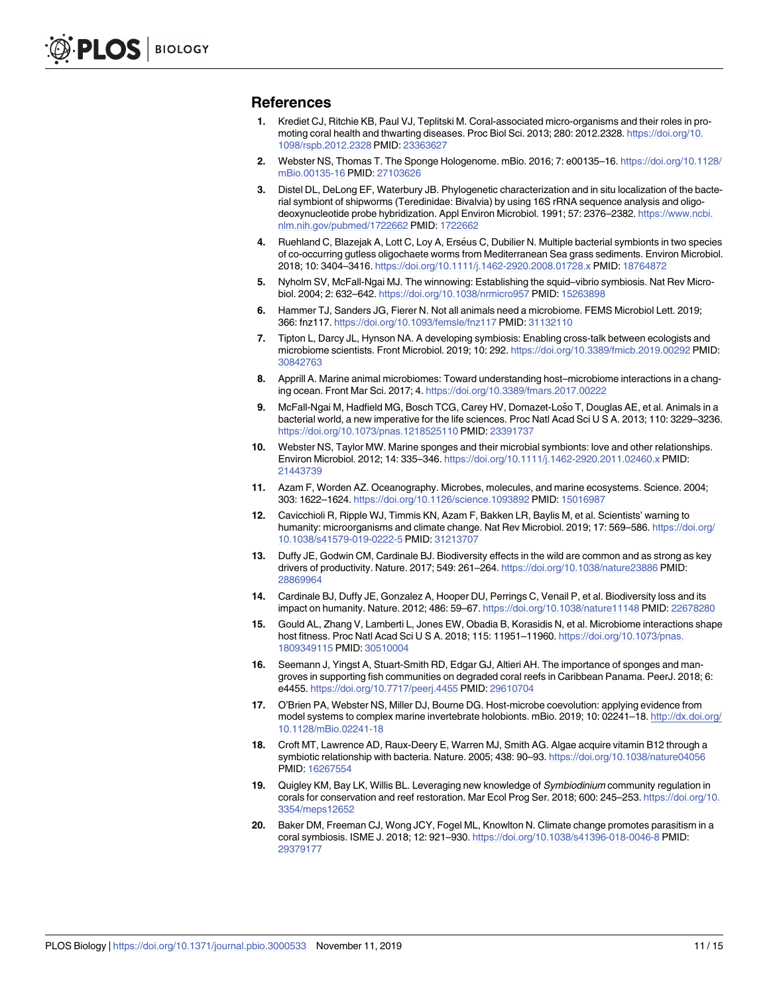#### <span id="page-10-0"></span>**References**

- **[1](#page-2-0).** Krediet CJ, Ritchie KB, Paul VJ, Teplitski M. Coral-associated micro-organisms and their roles in promoting coral health and thwarting diseases. Proc Biol Sci. 2013; 280: 2012.2328. [https://doi.org/10.](https://doi.org/10.1098/rspb.2012.2328) [1098/rspb.2012.2328](https://doi.org/10.1098/rspb.2012.2328) PMID: [23363627](http://www.ncbi.nlm.nih.gov/pubmed/23363627)
- **[2](#page-2-0).** Webster NS, Thomas T. The Sponge Hologenome. mBio. 2016; 7: e00135–16. [https://doi.org/10.1128/](https://doi.org/10.1128/mBio.00135-16) [mBio.00135-16](https://doi.org/10.1128/mBio.00135-16) PMID: [27103626](http://www.ncbi.nlm.nih.gov/pubmed/27103626)
- **[3](#page-2-0).** Distel DL, DeLong EF, Waterbury JB. Phylogenetic characterization and in situ localization of the bacterial symbiont of shipworms (Teredinidae: Bivalvia) by using 16S rRNA sequence analysis and oligodeoxynucleotide probe hybridization. Appl Environ Microbiol. 1991; 57: 2376–2382. [https://www.ncbi.](https://www.ncbi.nlm.nih.gov/pubmed/1722662) [nlm.nih.gov/pubmed/1722662](https://www.ncbi.nlm.nih.gov/pubmed/1722662) PMID: [1722662](http://www.ncbi.nlm.nih.gov/pubmed/1722662)
- **4.** Ruehland C, Blazejak A, Lott C, Loy A, Erséus C, Dubilier N. Multiple bacterial symbionts in two species of co-occurring gutless oligochaete worms from Mediterranean Sea grass sediments. Environ Microbiol. 2018; 10: 3404–3416. <https://doi.org/10.1111/j.1462-2920.2008.01728.x> PMID: [18764872](http://www.ncbi.nlm.nih.gov/pubmed/18764872)
- **[5](#page-2-0).** Nyholm SV, McFall-Ngai MJ. The winnowing: Establishing the squid–vibrio symbiosis. Nat Rev Microbiol. 2004; 2: 632–642. <https://doi.org/10.1038/nrmicro957> PMID: [15263898](http://www.ncbi.nlm.nih.gov/pubmed/15263898)
- **[6](#page-2-0).** Hammer TJ, Sanders JG, Fierer N. Not all animals need a microbiome. FEMS Microbiol Lett. 2019; 366: fnz117. <https://doi.org/10.1093/femsle/fnz117> PMID: [31132110](http://www.ncbi.nlm.nih.gov/pubmed/31132110)
- **[7](#page-1-0).** Tipton L, Darcy JL, Hynson NA. A developing symbiosis: Enabling cross-talk between ecologists and microbiome scientists. Front Microbiol. 2019; 10: 292. <https://doi.org/10.3389/fmicb.2019.00292> PMID: [30842763](http://www.ncbi.nlm.nih.gov/pubmed/30842763)
- **[8](#page-1-0).** Apprill A. Marine animal microbiomes: Toward understanding host–microbiome interactions in a changing ocean. Front Mar Sci. 2017; 4. <https://doi.org/10.3389/fmars.2017.00222>
- **[9](#page-3-0).** McFall-Ngai M, Hadfield MG, Bosch TCG, Carey HV, Domazet-Lošo T, Douglas AE, et al. Animals in a bacterial world, a new imperative for the life sciences. Proc Natl Acad Sci U S A. 2013; 110: 3229–3236. <https://doi.org/10.1073/pnas.1218525110> PMID: [23391737](http://www.ncbi.nlm.nih.gov/pubmed/23391737)
- **[10](#page-2-0).** Webster NS, Taylor MW. Marine sponges and their microbial symbionts: love and other relationships. Environ Microbiol. 2012; 14: 335–346. <https://doi.org/10.1111/j.1462-2920.2011.02460.x> PMID: [21443739](http://www.ncbi.nlm.nih.gov/pubmed/21443739)
- **[11](#page-2-0).** Azam F, Worden AZ. Oceanography. Microbes, molecules, and marine ecosystems. Science. 2004; 303: 1622–1624. <https://doi.org/10.1126/science.1093892> PMID: [15016987](http://www.ncbi.nlm.nih.gov/pubmed/15016987)
- **[12](#page-2-0).** Cavicchioli R, Ripple WJ, Timmis KN, Azam F, Bakken LR, Baylis M, et al. Scientists' warning to humanity: microorganisms and climate change. Nat Rev Microbiol. 2019; 17: 569–586. [https://doi.org/](https://doi.org/10.1038/s41579-019-0222-5) [10.1038/s41579-019-0222-5](https://doi.org/10.1038/s41579-019-0222-5) PMID: [31213707](http://www.ncbi.nlm.nih.gov/pubmed/31213707)
- **[13](#page-3-0).** Duffy JE, Godwin CM, Cardinale BJ. Biodiversity effects in the wild are common and as strong as key drivers of productivity. Nature. 2017; 549: 261–264. <https://doi.org/10.1038/nature23886> PMID: [28869964](http://www.ncbi.nlm.nih.gov/pubmed/28869964)
- **[14](#page-2-0).** Cardinale BJ, Duffy JE, Gonzalez A, Hooper DU, Perrings C, Venail P, et al. Biodiversity loss and its impact on humanity. Nature. 2012; 486: 59–67. <https://doi.org/10.1038/nature11148> PMID: [22678280](http://www.ncbi.nlm.nih.gov/pubmed/22678280)
- **[15](#page-3-0).** Gould AL, Zhang V, Lamberti L, Jones EW, Obadia B, Korasidis N, et al. Microbiome interactions shape host fitness. Proc Natl Acad Sci U S A. 2018; 115: 11951–11960. [https://doi.org/10.1073/pnas.](https://doi.org/10.1073/pnas.1809349115) [1809349115](https://doi.org/10.1073/pnas.1809349115) PMID: [30510004](http://www.ncbi.nlm.nih.gov/pubmed/30510004)
- **[16](#page-3-0).** Seemann J, Yingst A, Stuart-Smith RD, Edgar GJ, Altieri AH. The importance of sponges and mangroves in supporting fish communities on degraded coral reefs in Caribbean Panama. PeerJ. 2018; 6: e4455. <https://doi.org/10.7717/peerj.4455> PMID: [29610704](http://www.ncbi.nlm.nih.gov/pubmed/29610704)
- **[17](#page-3-0).** O'Brien PA, Webster NS, Miller DJ, Bourne DG. Host-microbe coevolution: applying evidence from model systems to complex marine invertebrate holobionts. mBio. 2019; 10: 02241–18. [http://dx.doi.org/](http://dx.doi.org/10.1128/mBio.02241-18) [10.1128/mBio.02241-18](http://dx.doi.org/10.1128/mBio.02241-18)
- **[18](#page-3-0).** Croft MT, Lawrence AD, Raux-Deery E, Warren MJ, Smith AG. Algae acquire vitamin B12 through a symbiotic relationship with bacteria. Nature. 2005; 438: 90–93. <https://doi.org/10.1038/nature04056> PMID: [16267554](http://www.ncbi.nlm.nih.gov/pubmed/16267554)
- **[19](#page-3-0).** Quigley KM, Bay LK, Willis BL. Leveraging new knowledge of Symbiodinium community regulation in corals for conservation and reef restoration. Mar Ecol Prog Ser. 2018; 600: 245–253. [https://doi.org/10.](https://doi.org/10.3354/meps12652) [3354/meps12652](https://doi.org/10.3354/meps12652)
- **[20](#page-3-0).** Baker DM, Freeman CJ, Wong JCY, Fogel ML, Knowlton N. Climate change promotes parasitism in a coral symbiosis. ISME J. 2018; 12: 921–930. <https://doi.org/10.1038/s41396-018-0046-8> PMID: [29379177](http://www.ncbi.nlm.nih.gov/pubmed/29379177)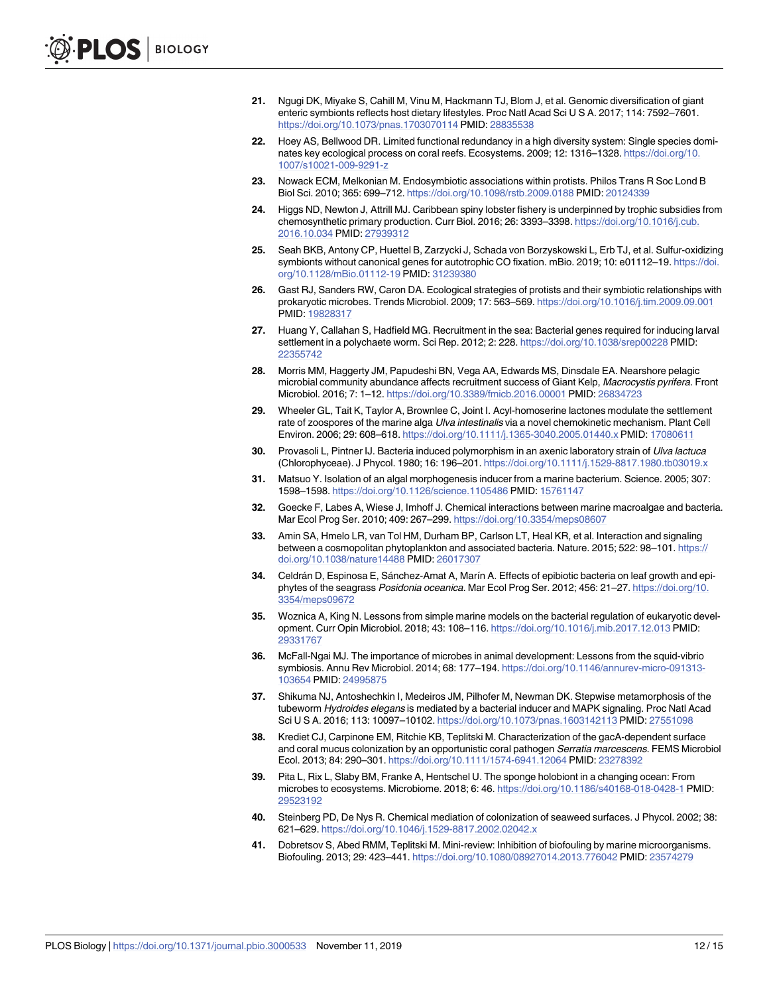- <span id="page-11-0"></span>**[21](#page-3-0).** Ngugi DK, Miyake S, Cahill M, Vinu M, Hackmann TJ, Blom J, et al. Genomic diversification of giant enteric symbionts reflects host dietary lifestyles. Proc Natl Acad Sci U S A. 2017; 114: 7592–7601. <https://doi.org/10.1073/pnas.1703070114> PMID: [28835538](http://www.ncbi.nlm.nih.gov/pubmed/28835538)
- **[22](#page-3-0).** Hoey AS, Bellwood DR. Limited functional redundancy in a high diversity system: Single species dominates key ecological process on coral reefs. Ecosystems. 2009; 12: 1316–1328. [https://doi.org/10.](https://doi.org/10.1007/s10021-009-9291-z) [1007/s10021-009-9291-z](https://doi.org/10.1007/s10021-009-9291-z)
- **[23](#page-3-0).** Nowack ECM, Melkonian M. Endosymbiotic associations within protists. Philos Trans R Soc Lond B Biol Sci. 2010; 365: 699–712. <https://doi.org/10.1098/rstb.2009.0188> PMID: [20124339](http://www.ncbi.nlm.nih.gov/pubmed/20124339)
- **[24](#page-3-0).** Higgs ND, Newton J, Attrill MJ. Caribbean spiny lobster fishery is underpinned by trophic subsidies from chemosynthetic primary production. Curr Biol. 2016; 26: 3393–3398. [https://doi.org/10.1016/j.cub.](https://doi.org/10.1016/j.cub.2016.10.034) [2016.10.034](https://doi.org/10.1016/j.cub.2016.10.034) PMID: [27939312](http://www.ncbi.nlm.nih.gov/pubmed/27939312)
- **[25](#page-4-0).** Seah BKB, Antony CP, Huettel B, Zarzycki J, Schada von Borzyskowski L, Erb TJ, et al. Sulfur-oxidizing symbionts without canonical genes for autotrophic CO fixation. mBio. 2019; 10: e01112–19. [https://doi.](https://doi.org/10.1128/mBio.01112-19) [org/10.1128/mBio.01112-19](https://doi.org/10.1128/mBio.01112-19) PMID: [31239380](http://www.ncbi.nlm.nih.gov/pubmed/31239380)
- **[26](#page-4-0).** Gast RJ, Sanders RW, Caron DA. Ecological strategies of protists and their symbiotic relationships with prokaryotic microbes. Trends Microbiol. 2009; 17: 563–569. <https://doi.org/10.1016/j.tim.2009.09.001> PMID: [19828317](http://www.ncbi.nlm.nih.gov/pubmed/19828317)
- **[27](#page-4-0).** Huang Y, Callahan S, Hadfield MG. Recruitment in the sea: Bacterial genes required for inducing larval settlement in a polychaete worm. Sci Rep. 2012; 2: 228. <https://doi.org/10.1038/srep00228> PMID: [22355742](http://www.ncbi.nlm.nih.gov/pubmed/22355742)
- **[28](#page-4-0).** Morris MM, Haggerty JM, Papudeshi BN, Vega AA, Edwards MS, Dinsdale EA. Nearshore pelagic microbial community abundance affects recruitment success of Giant Kelp, Macrocystis pyrifera. Front Microbiol. 2016; 7: 1–12. <https://doi.org/10.3389/fmicb.2016.00001> PMID: [26834723](http://www.ncbi.nlm.nih.gov/pubmed/26834723)
- **[29](#page-4-0).** Wheeler GL, Tait K, Taylor A, Brownlee C, Joint I. Acyl-homoserine lactones modulate the settlement rate of zoospores of the marine alga Ulva intestinalis via a novel chemokinetic mechanism. Plant Cell Environ. 2006; 29: 608–618. <https://doi.org/10.1111/j.1365-3040.2005.01440.x> PMID: [17080611](http://www.ncbi.nlm.nih.gov/pubmed/17080611)
- **[30](#page-4-0).** Provasoli L, Pintner IJ. Bacteria induced polymorphism in an axenic laboratory strain of Ulva lactuca (Chlorophyceae). J Phycol. 1980; 16: 196–201. <https://doi.org/10.1111/j.1529-8817.1980.tb03019.x>
- **[31](#page-4-0).** Matsuo Y. Isolation of an algal morphogenesis inducer from a marine bacterium. Science. 2005; 307: 1598–1598. <https://doi.org/10.1126/science.1105486> PMID: [15761147](http://www.ncbi.nlm.nih.gov/pubmed/15761147)
- **[32](#page-4-0).** Goecke F, Labes A, Wiese J, Imhoff J. Chemical interactions between marine macroalgae and bacteria. Mar Ecol Prog Ser. 2010; 409: 267–299. <https://doi.org/10.3354/meps08607>
- **33.** Amin SA, Hmelo LR, van Tol HM, Durham BP, Carlson LT, Heal KR, et al. Interaction and signaling between a cosmopolitan phytoplankton and associated bacteria. Nature. 2015; 522: 98–101. [https://](https://doi.org/10.1038/nature14488) [doi.org/10.1038/nature14488](https://doi.org/10.1038/nature14488) PMID: [26017307](http://www.ncbi.nlm.nih.gov/pubmed/26017307)
- **[34](#page-4-0).** Celdrán D, Espinosa E, Sánchez-Amat A, Marín A. Effects of epibiotic bacteria on leaf growth and epiphytes of the seagrass Posidonia oceanica. Mar Ecol Prog Ser. 2012; 456: 21–27. [https://doi.org/10.](https://doi.org/10.3354/meps09672) [3354/meps09672](https://doi.org/10.3354/meps09672)
- **[35](#page-4-0).** Woznica A, King N. Lessons from simple marine models on the bacterial regulation of eukaryotic development. Curr Opin Microbiol. 2018; 43: 108–116. <https://doi.org/10.1016/j.mib.2017.12.013> PMID: [29331767](http://www.ncbi.nlm.nih.gov/pubmed/29331767)
- **[36](#page-4-0).** McFall-Ngai MJ. The importance of microbes in animal development: Lessons from the squid-vibrio symbiosis. Annu Rev Microbiol. 2014; 68: 177–194. [https://doi.org/10.1146/annurev-micro-091313-](https://doi.org/10.1146/annurev-micro-091313-103654) [103654](https://doi.org/10.1146/annurev-micro-091313-103654) PMID: [24995875](http://www.ncbi.nlm.nih.gov/pubmed/24995875)
- **[37](#page-4-0).** Shikuma NJ, Antoshechkin I, Medeiros JM, Pilhofer M, Newman DK. Stepwise metamorphosis of the tubeworm Hydroides elegans is mediated by a bacterial inducer and MAPK signaling. Proc Natl Acad Sci U S A. 2016; 113: 10097–10102. <https://doi.org/10.1073/pnas.1603142113> PMID: [27551098](http://www.ncbi.nlm.nih.gov/pubmed/27551098)
- **[38](#page-4-0).** Krediet CJ, Carpinone EM, Ritchie KB, Teplitski M. Characterization of the gacA-dependent surface and coral mucus colonization by an opportunistic coral pathogen Serratia marcescens. FEMS Microbiol Ecol. 2013; 84: 290–301. <https://doi.org/10.1111/1574-6941.12064> PMID: [23278392](http://www.ncbi.nlm.nih.gov/pubmed/23278392)
- **[39](#page-4-0).** Pita L, Rix L, Slaby BM, Franke A, Hentschel U. The sponge holobiont in a changing ocean: From microbes to ecosystems. Microbiome. 2018; 6: 46. <https://doi.org/10.1186/s40168-018-0428-1> PMID: [29523192](http://www.ncbi.nlm.nih.gov/pubmed/29523192)
- **[40](#page-4-0).** Steinberg PD, De Nys R. Chemical mediation of colonization of seaweed surfaces. J Phycol. 2002; 38: 621–629. <https://doi.org/10.1046/j.1529-8817.2002.02042.x>
- **[41](#page-4-0).** Dobretsov S, Abed RMM, Teplitski M. Mini-review: Inhibition of biofouling by marine microorganisms. Biofouling. 2013; 29: 423–441. <https://doi.org/10.1080/08927014.2013.776042> PMID: [23574279](http://www.ncbi.nlm.nih.gov/pubmed/23574279)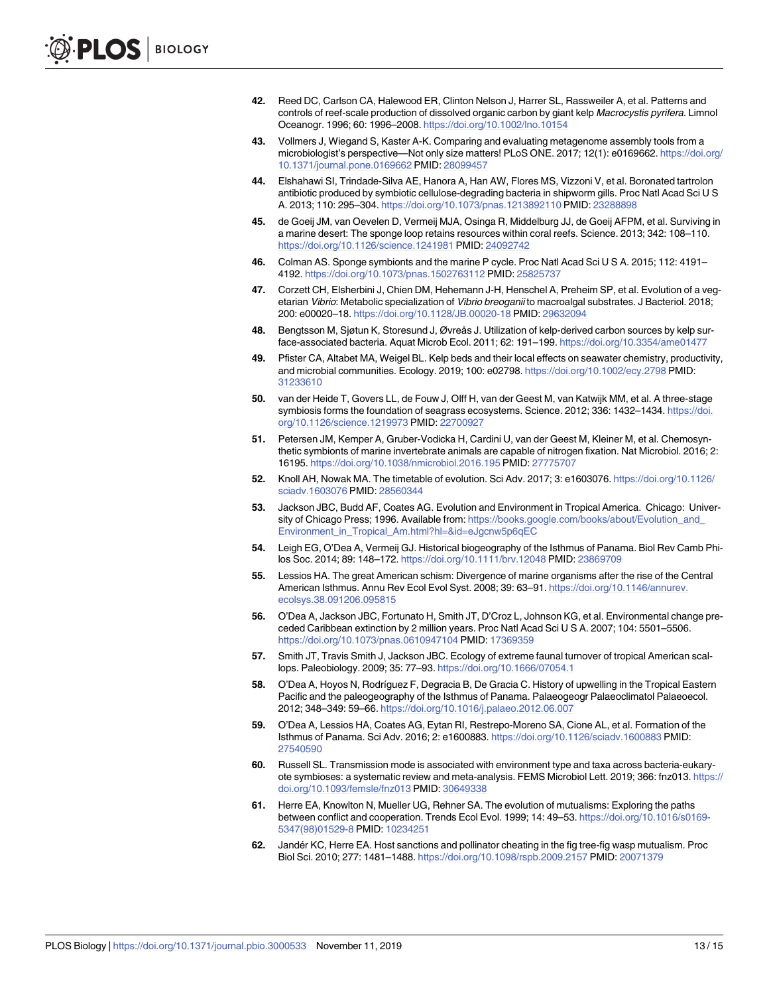- <span id="page-12-0"></span>**[42](#page-4-0).** Reed DC, Carlson CA, Halewood ER, Clinton Nelson J, Harrer SL, Rassweiler A, et al. Patterns and controls of reef-scale production of dissolved organic carbon by giant kelp Macrocystis pyrifera. Limnol Oceanogr. 1996; 60: 1996–2008. <https://doi.org/10.1002/lno.10154>
- **[43](#page-4-0).** Vollmers J, Wiegand S, Kaster A-K. Comparing and evaluating metagenome assembly tools from a microbiologist's perspective—Not only size matters! PLoS ONE. 2017; 12(1): e0169662. [https://doi.org/](https://doi.org/10.1371/journal.pone.0169662) [10.1371/journal.pone.0169662](https://doi.org/10.1371/journal.pone.0169662) PMID: [28099457](http://www.ncbi.nlm.nih.gov/pubmed/28099457)
- **[44](#page-5-0).** Elshahawi SI, Trindade-Silva AE, Hanora A, Han AW, Flores MS, Vizzoni V, et al. Boronated tartrolon antibiotic produced by symbiotic cellulose-degrading bacteria in shipworm gills. Proc Natl Acad Sci U S A. 2013; 110: 295–304. <https://doi.org/10.1073/pnas.1213892110> PMID: [23288898](http://www.ncbi.nlm.nih.gov/pubmed/23288898)
- **[45](#page-5-0).** de Goeij JM, van Oevelen D, Vermeij MJA, Osinga R, Middelburg JJ, de Goeij AFPM, et al. Surviving in a marine desert: The sponge loop retains resources within coral reefs. Science. 2013; 342: 108–110. <https://doi.org/10.1126/science.1241981> PMID: [24092742](http://www.ncbi.nlm.nih.gov/pubmed/24092742)
- **[46](#page-5-0).** Colman AS. Sponge symbionts and the marine P cycle. Proc Natl Acad Sci U S A. 2015; 112: 4191– 4192. <https://doi.org/10.1073/pnas.1502763112> PMID: [25825737](http://www.ncbi.nlm.nih.gov/pubmed/25825737)
- **[47](#page-5-0).** Corzett CH, Elsherbini J, Chien DM, Hehemann J-H, Henschel A, Preheim SP, et al. Evolution of a vegetarian Vibrio: Metabolic specialization of Vibrio breoganii to macroalgal substrates. J Bacteriol. 2018; 200: e00020–18. <https://doi.org/10.1128/JB.00020-18> PMID: [29632094](http://www.ncbi.nlm.nih.gov/pubmed/29632094)
- **[48](#page-5-0).** Bengtsson M, Sjøtun K, Storesund J, Øvreås J. Utilization of kelp-derived carbon sources by kelp surface-associated bacteria. Aquat Microb Ecol. 2011; 62: 191–199. <https://doi.org/10.3354/ame01477>
- **[49](#page-5-0).** Pfister CA, Altabet MA, Weigel BL. Kelp beds and their local effects on seawater chemistry, productivity, and microbial communities. Ecology. 2019; 100: e02798. <https://doi.org/10.1002/ecy.2798> PMID: [31233610](http://www.ncbi.nlm.nih.gov/pubmed/31233610)
- **[50](#page-5-0).** van der Heide T, Govers LL, de Fouw J, Olff H, van der Geest M, van Katwijk MM, et al. A three-stage symbiosis forms the foundation of seagrass ecosystems. Science. 2012; 336: 1432–1434. [https://doi.](https://doi.org/10.1126/science.1219973) [org/10.1126/science.1219973](https://doi.org/10.1126/science.1219973) PMID: [22700927](http://www.ncbi.nlm.nih.gov/pubmed/22700927)
- **[51](#page-5-0).** Petersen JM, Kemper A, Gruber-Vodicka H, Cardini U, van der Geest M, Kleiner M, et al. Chemosynthetic symbionts of marine invertebrate animals are capable of nitrogen fixation. Nat Microbiol. 2016; 2: 16195. <https://doi.org/10.1038/nmicrobiol.2016.195> PMID: [27775707](http://www.ncbi.nlm.nih.gov/pubmed/27775707)
- **[52](#page-5-0).** Knoll AH, Nowak MA. The timetable of evolution. Sci Adv. 2017; 3: e1603076. [https://doi.org/10.1126/](https://doi.org/10.1126/sciadv.1603076) [sciadv.1603076](https://doi.org/10.1126/sciadv.1603076) PMID: [28560344](http://www.ncbi.nlm.nih.gov/pubmed/28560344)
- **[53](#page-5-0).** Jackson JBC, Budd AF, Coates AG. Evolution and Environment in Tropical America. Chicago: University of Chicago Press; 1996. Available from: [https://books.google.com/books/about/Evolution\\_and\\_](https://books.google.com/books/about/Evolution_and_Environment_in_Tropical_Am.html?hl=&id=eJgcnw5p6qEC) [Environment\\_in\\_Tropical\\_Am.html?hl=&id=eJgcnw5p6qEC](https://books.google.com/books/about/Evolution_and_Environment_in_Tropical_Am.html?hl=&id=eJgcnw5p6qEC)
- **[54](#page-5-0).** Leigh EG, O'Dea A, Vermeij GJ. Historical biogeography of the Isthmus of Panama. Biol Rev Camb Philos Soc. 2014; 89: 148–172. <https://doi.org/10.1111/brv.12048> PMID: [23869709](http://www.ncbi.nlm.nih.gov/pubmed/23869709)
- **[55](#page-5-0).** Lessios HA. The great American schism: Divergence of marine organisms after the rise of the Central American Isthmus. Annu Rev Ecol Evol Syst. 2008; 39: 63–91. [https://doi.org/10.1146/annurev.](https://doi.org/10.1146/annurev.ecolsys.38.091206.095815) [ecolsys.38.091206.095815](https://doi.org/10.1146/annurev.ecolsys.38.091206.095815)
- **[56](#page-6-0).** O'Dea A, Jackson JBC, Fortunato H, Smith JT, D'Croz L, Johnson KG, et al. Environmental change preceded Caribbean extinction by 2 million years. Proc Natl Acad Sci U S A. 2007; 104: 5501–5506. <https://doi.org/10.1073/pnas.0610947104> PMID: [17369359](http://www.ncbi.nlm.nih.gov/pubmed/17369359)
- **[57](#page-6-0).** Smith JT, Travis Smith J, Jackson JBC. Ecology of extreme faunal turnover of tropical American scallops. Paleobiology. 2009; 35: 77–93. <https://doi.org/10.1666/07054.1>
- **[58](#page-6-0).** O'Dea A, Hoyos N, Rodrı´guez F, Degracia B, De Gracia C. History of upwelling in the Tropical Eastern Pacific and the paleogeography of the Isthmus of Panama. Palaeogeogr Palaeoclimatol Palaeoecol. 2012; 348–349: 59–66. <https://doi.org/10.1016/j.palaeo.2012.06.007>
- **[59](#page-6-0).** O'Dea A, Lessios HA, Coates AG, Eytan RI, Restrepo-Moreno SA, Cione AL, et al. Formation of the Isthmus of Panama. Sci Adv. 2016; 2: e1600883. <https://doi.org/10.1126/sciadv.1600883> PMID: [27540590](http://www.ncbi.nlm.nih.gov/pubmed/27540590)
- **[60](#page-6-0).** Russell SL. Transmission mode is associated with environment type and taxa across bacteria-eukaryote symbioses: a systematic review and meta-analysis. FEMS Microbiol Lett. 2019; 366: fnz013. [https://](https://doi.org/10.1093/femsle/fnz013) [doi.org/10.1093/femsle/fnz013](https://doi.org/10.1093/femsle/fnz013) PMID: [30649338](http://www.ncbi.nlm.nih.gov/pubmed/30649338)
- **[61](#page-6-0).** Herre EA, Knowlton N, Mueller UG, Rehner SA. The evolution of mutualisms: Exploring the paths between conflict and cooperation. Trends Ecol Evol. 1999; 14: 49–53. [https://doi.org/10.1016/s0169-](https://doi.org/10.1016/s0169-5347(98)01529-8) [5347\(98\)01529-8](https://doi.org/10.1016/s0169-5347(98)01529-8) PMID: [10234251](http://www.ncbi.nlm.nih.gov/pubmed/10234251)
- **[62](#page-6-0).** Jande´r KC, Herre EA. Host sanctions and pollinator cheating in the fig tree-fig wasp mutualism. Proc Biol Sci. 2010; 277: 1481–1488. <https://doi.org/10.1098/rspb.2009.2157> PMID: [20071379](http://www.ncbi.nlm.nih.gov/pubmed/20071379)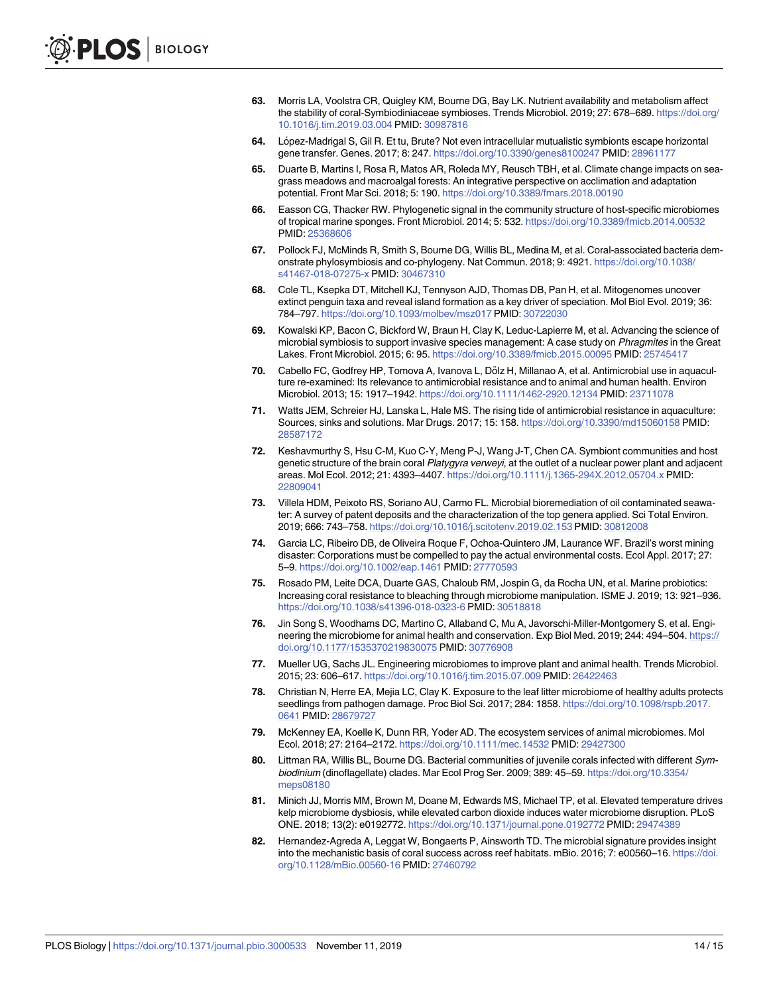- <span id="page-13-0"></span>**[63](#page-6-0).** Morris LA, Voolstra CR, Quigley KM, Bourne DG, Bay LK. Nutrient availability and metabolism affect the stability of coral-Symbiodiniaceae symbioses. Trends Microbiol. 2019; 27: 678–689. [https://doi.org/](https://doi.org/10.1016/j.tim.2019.03.004) [10.1016/j.tim.2019.03.004](https://doi.org/10.1016/j.tim.2019.03.004) PMID: [30987816](http://www.ncbi.nlm.nih.gov/pubmed/30987816)
- **[64](#page-6-0).** López-Madrigal S, Gil R. Et tu, Brute? Not even intracellular mutualistic symbionts escape horizontal gene transfer. Genes. 2017; 8: 247. <https://doi.org/10.3390/genes8100247> PMID: [28961177](http://www.ncbi.nlm.nih.gov/pubmed/28961177)
- **[65](#page-6-0).** Duarte B, Martins I, Rosa R, Matos AR, Roleda MY, Reusch TBH, et al. Climate change impacts on seagrass meadows and macroalgal forests: An integrative perspective on acclimation and adaptation potential. Front Mar Sci. 2018; 5: 190. <https://doi.org/10.3389/fmars.2018.00190>
- **[66](#page-6-0).** Easson CG, Thacker RW. Phylogenetic signal in the community structure of host-specific microbiomes of tropical marine sponges. Front Microbiol. 2014; 5: 532. <https://doi.org/10.3389/fmicb.2014.00532> PMID: [25368606](http://www.ncbi.nlm.nih.gov/pubmed/25368606)
- **[67](#page-6-0).** Pollock FJ, McMinds R, Smith S, Bourne DG, Willis BL, Medina M, et al. Coral-associated bacteria demonstrate phylosymbiosis and co-phylogeny. Nat Commun. 2018; 9: 4921. [https://doi.org/10.1038/](https://doi.org/10.1038/s41467-018-07275-x) [s41467-018-07275-x](https://doi.org/10.1038/s41467-018-07275-x) PMID: [30467310](http://www.ncbi.nlm.nih.gov/pubmed/30467310)
- **[68](#page-6-0).** Cole TL, Ksepka DT, Mitchell KJ, Tennyson AJD, Thomas DB, Pan H, et al. Mitogenomes uncover extinct penguin taxa and reveal island formation as a key driver of speciation. Mol Biol Evol. 2019; 36: 784–797. <https://doi.org/10.1093/molbev/msz017> PMID: [30722030](http://www.ncbi.nlm.nih.gov/pubmed/30722030)
- **[69](#page-6-0).** Kowalski KP, Bacon C, Bickford W, Braun H, Clay K, Leduc-Lapierre M, et al. Advancing the science of microbial symbiosis to support invasive species management: A case study on Phragmites in the Great Lakes. Front Microbiol. 2015; 6: 95. <https://doi.org/10.3389/fmicb.2015.00095> PMID: [25745417](http://www.ncbi.nlm.nih.gov/pubmed/25745417)
- **[70](#page-6-0).** Cabello FC, Godfrey HP, Tomova A, Ivanova L, Dölz H, Millanao A, et al. Antimicrobial use in aquaculture re-examined: Its relevance to antimicrobial resistance and to animal and human health. Environ Microbiol. 2013; 15: 1917–1942. <https://doi.org/10.1111/1462-2920.12134> PMID: [23711078](http://www.ncbi.nlm.nih.gov/pubmed/23711078)
- **[71](#page-6-0).** Watts JEM, Schreier HJ, Lanska L, Hale MS. The rising tide of antimicrobial resistance in aquaculture: Sources, sinks and solutions. Mar Drugs. 2017; 15: 158. <https://doi.org/10.3390/md15060158> PMID: [28587172](http://www.ncbi.nlm.nih.gov/pubmed/28587172)
- **[72](#page-8-0).** Keshavmurthy S, Hsu C-M, Kuo C-Y, Meng P-J, Wang J-T, Chen CA. Symbiont communities and host genetic structure of the brain coral Platygyra verweyi, at the outlet of a nuclear power plant and adjacent areas. Mol Ecol. 2012; 21: 4393–4407. <https://doi.org/10.1111/j.1365-294X.2012.05704.x> PMID: [22809041](http://www.ncbi.nlm.nih.gov/pubmed/22809041)
- **[73](#page-8-0).** Villela HDM, Peixoto RS, Soriano AU, Carmo FL. Microbial bioremediation of oil contaminated seawater: A survey of patent deposits and the characterization of the top genera applied. Sci Total Environ. 2019; 666: 743–758. <https://doi.org/10.1016/j.scitotenv.2019.02.153> PMID: [30812008](http://www.ncbi.nlm.nih.gov/pubmed/30812008)
- **[74](#page-8-0).** Garcia LC, Ribeiro DB, de Oliveira Roque F, Ochoa-Quintero JM, Laurance WF. Brazil's worst mining disaster: Corporations must be compelled to pay the actual environmental costs. Ecol Appl. 2017; 27: 5–9. <https://doi.org/10.1002/eap.1461> PMID: [27770593](http://www.ncbi.nlm.nih.gov/pubmed/27770593)
- **[75](#page-8-0).** Rosado PM, Leite DCA, Duarte GAS, Chaloub RM, Jospin G, da Rocha UN, et al. Marine probiotics: Increasing coral resistance to bleaching through microbiome manipulation. ISME J. 2019; 13: 921–936. <https://doi.org/10.1038/s41396-018-0323-6> PMID: [30518818](http://www.ncbi.nlm.nih.gov/pubmed/30518818)
- **[76](#page-8-0).** Jin Song S, Woodhams DC, Martino C, Allaband C, Mu A, Javorschi-Miller-Montgomery S, et al. Engineering the microbiome for animal health and conservation. Exp Biol Med. 2019; 244: 494–504. [https://](https://doi.org/10.1177/1535370219830075) [doi.org/10.1177/1535370219830075](https://doi.org/10.1177/1535370219830075) PMID: [30776908](http://www.ncbi.nlm.nih.gov/pubmed/30776908)
- **[77](#page-8-0).** Mueller UG, Sachs JL. Engineering microbiomes to improve plant and animal health. Trends Microbiol. 2015; 23: 606–617. <https://doi.org/10.1016/j.tim.2015.07.009> PMID: [26422463](http://www.ncbi.nlm.nih.gov/pubmed/26422463)
- **[78](#page-8-0).** Christian N, Herre EA, Mejia LC, Clay K. Exposure to the leaf litter microbiome of healthy adults protects seedlings from pathogen damage. Proc Biol Sci. 2017; 284: 1858. [https://doi.org/10.1098/rspb.2017.](https://doi.org/10.1098/rspb.2017.0641) [0641](https://doi.org/10.1098/rspb.2017.0641) PMID: [28679727](http://www.ncbi.nlm.nih.gov/pubmed/28679727)
- **[79](#page-8-0).** McKenney EA, Koelle K, Dunn RR, Yoder AD. The ecosystem services of animal microbiomes. Mol Ecol. 2018; 27: 2164–2172. <https://doi.org/10.1111/mec.14532> PMID: [29427300](http://www.ncbi.nlm.nih.gov/pubmed/29427300)
- **[80](#page-8-0).** Littman RA, Willis BL, Bourne DG. Bacterial communities of juvenile corals infected with different Symbiodinium (dinoflagellate) clades. Mar Ecol Prog Ser. 2009; 389: 45–59. [https://doi.org/10.3354/](https://doi.org/10.3354/meps08180) [meps08180](https://doi.org/10.3354/meps08180)
- **[81](#page-8-0).** Minich JJ, Morris MM, Brown M, Doane M, Edwards MS, Michael TP, et al. Elevated temperature drives kelp microbiome dysbiosis, while elevated carbon dioxide induces water microbiome disruption. PLoS ONE. 2018; 13(2): e0192772. <https://doi.org/10.1371/journal.pone.0192772> PMID: [29474389](http://www.ncbi.nlm.nih.gov/pubmed/29474389)
- **[82](#page-8-0).** Hernandez-Agreda A, Leggat W, Bongaerts P, Ainsworth TD. The microbial signature provides insight into the mechanistic basis of coral success across reef habitats. mBio. 2016; 7: e00560–16. [https://doi.](https://doi.org/10.1128/mBio.00560-16) [org/10.1128/mBio.00560-16](https://doi.org/10.1128/mBio.00560-16) PMID: [27460792](http://www.ncbi.nlm.nih.gov/pubmed/27460792)